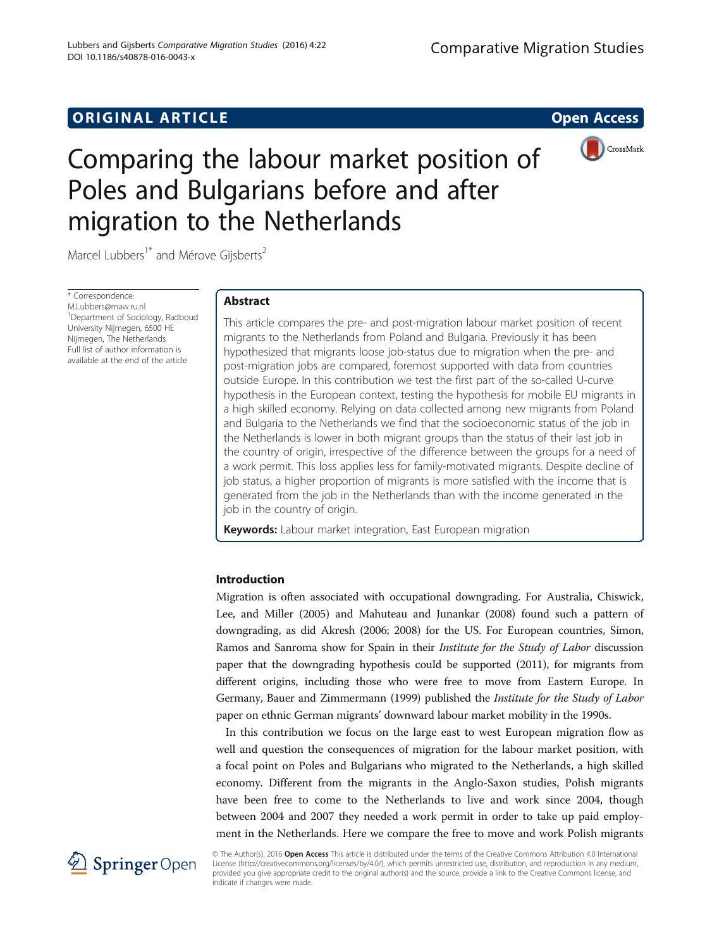## **ORIGINAL ARTICLE CONSERVANCE IN A LOCAL CONSERVANCE IN A LOCAL CONSERVANCE IN A LOCAL CONSERVANCE IN A LOCAL CONSERVANCE IN A LOCAL CONSERVANCE IN A LOCAL CONSERVANCE IN A LOCAL CONSERVANCE IN A LOCAL CONSERVANCE IN A L**



# Comparing the labour market position of Poles and Bulgarians before and after migration to the Netherlands

Marcel Lubbers<sup>1\*</sup> and Mérove Gijsberts<sup>2</sup>

\* Correspondence: [M.Lubbers@maw.ru.nl](mailto:M.Lubbers@maw.ru.nl) <sup>1</sup>Department of Sociology, Radboud University Nijmegen, 6500 HE Nijmegen, The Netherlands Full list of author information is available at the end of the article

## Abstract

This article compares the pre- and post-migration labour market position of recent migrants to the Netherlands from Poland and Bulgaria. Previously it has been hypothesized that migrants loose job-status due to migration when the pre- and post-migration jobs are compared, foremost supported with data from countries outside Europe. In this contribution we test the first part of the so-called U-curve hypothesis in the European context, testing the hypothesis for mobile EU migrants in a high skilled economy. Relying on data collected among new migrants from Poland and Bulgaria to the Netherlands we find that the socioeconomic status of the job in the Netherlands is lower in both migrant groups than the status of their last job in the country of origin, irrespective of the difference between the groups for a need of a work permit. This loss applies less for family-motivated migrants. Despite decline of job status, a higher proportion of migrants is more satisfied with the income that is generated from the job in the Netherlands than with the income generated in the job in the country of origin.

Keywords: Labour market integration, East European migration

## Introduction

Migration is often associated with occupational downgrading. For Australia, Chiswick, Lee, and Miller [\(2005\)](#page-17-0) and Mahuteau and Junankar [\(2008](#page-17-0)) found such a pattern of downgrading, as did Akresh [\(2006; 2008](#page-16-0)) for the US. For European countries, Simon, Ramos and Sanroma show for Spain in their Institute for the Study of Labor discussion paper that the downgrading hypothesis could be supported (2011), for migrants from different origins, including those who were free to move from Eastern Europe. In Germany, Bauer and Zimmermann ([1999](#page-17-0)) published the Institute for the Study of Labor paper on ethnic German migrants' downward labour market mobility in the 1990s.

In this contribution we focus on the large east to west European migration flow as well and question the consequences of migration for the labour market position, with a focal point on Poles and Bulgarians who migrated to the Netherlands, a high skilled economy. Different from the migrants in the Anglo-Saxon studies, Polish migrants have been free to come to the Netherlands to live and work since 2004, though between 2004 and 2007 they needed a work permit in order to take up paid employment in the Netherlands. Here we compare the free to move and work Polish migrants



© The Author(s). 2016 Open Access This article is distributed under the terms of the Creative Commons Attribution 4.0 International License [\(http://creativecommons.org/licenses/by/4.0/](http://creativecommons.org/licenses/by/4.0/)), which permits unrestricted use, distribution, and reproduction in any medium, provided you give appropriate credit to the original author(s) and the source, provide a link to the Creative Commons license, and indicate if changes were made.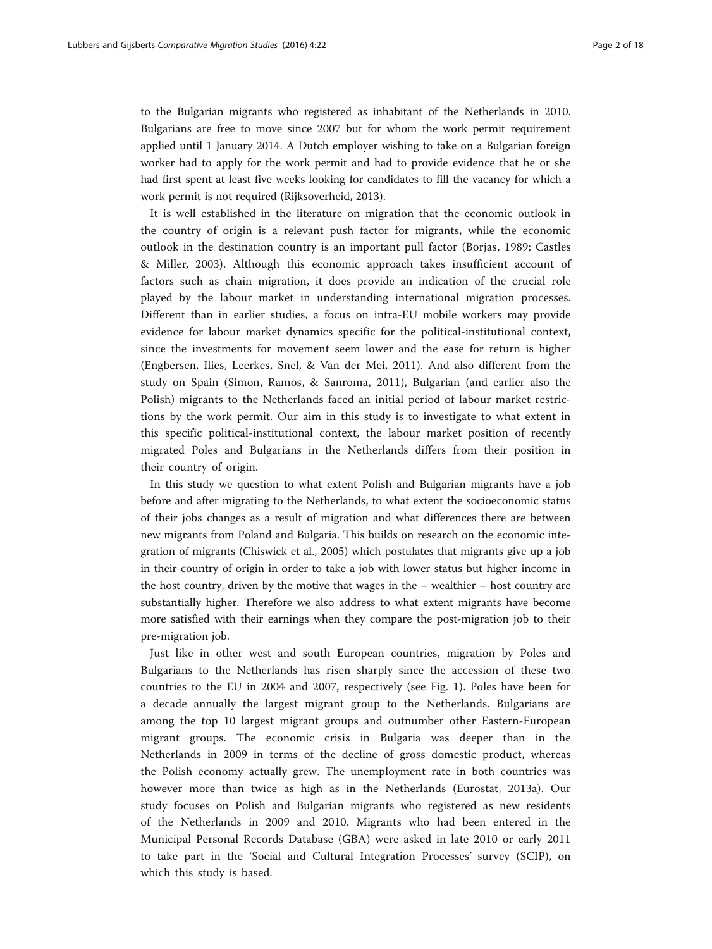to the Bulgarian migrants who registered as inhabitant of the Netherlands in 2010. Bulgarians are free to move since 2007 but for whom the work permit requirement applied until 1 January 2014. A Dutch employer wishing to take on a Bulgarian foreign worker had to apply for the work permit and had to provide evidence that he or she had first spent at least five weeks looking for candidates to fill the vacancy for which a work permit is not required (Rijksoverheid, [2013](#page-17-0)).

It is well established in the literature on migration that the economic outlook in the country of origin is a relevant push factor for migrants, while the economic outlook in the destination country is an important pull factor (Borjas, [1989](#page-17-0); Castles & Miller, [2003\)](#page-17-0). Although this economic approach takes insufficient account of factors such as chain migration, it does provide an indication of the crucial role played by the labour market in understanding international migration processes. Different than in earlier studies, a focus on intra-EU mobile workers may provide evidence for labour market dynamics specific for the political-institutional context, since the investments for movement seem lower and the ease for return is higher (Engbersen, Ilies, Leerkes, Snel, & Van der Mei, [2011\)](#page-17-0). And also different from the study on Spain (Simon, Ramos, & Sanroma, [2011](#page-17-0)), Bulgarian (and earlier also the Polish) migrants to the Netherlands faced an initial period of labour market restrictions by the work permit. Our aim in this study is to investigate to what extent in this specific political-institutional context, the labour market position of recently migrated Poles and Bulgarians in the Netherlands differs from their position in their country of origin.

In this study we question to what extent Polish and Bulgarian migrants have a job before and after migrating to the Netherlands, to what extent the socioeconomic status of their jobs changes as a result of migration and what differences there are between new migrants from Poland and Bulgaria. This builds on research on the economic integration of migrants (Chiswick et al., [2005](#page-17-0)) which postulates that migrants give up a job in their country of origin in order to take a job with lower status but higher income in the host country, driven by the motive that wages in the – wealthier – host country are substantially higher. Therefore we also address to what extent migrants have become more satisfied with their earnings when they compare the post-migration job to their pre-migration job.

Just like in other west and south European countries, migration by Poles and Bulgarians to the Netherlands has risen sharply since the accession of these two countries to the EU in 2004 and 2007, respectively (see Fig. [1](#page-2-0)). Poles have been for a decade annually the largest migrant group to the Netherlands. Bulgarians are among the top 10 largest migrant groups and outnumber other Eastern-European migrant groups. The economic crisis in Bulgaria was deeper than in the Netherlands in 2009 in terms of the decline of gross domestic product, whereas the Polish economy actually grew. The unemployment rate in both countries was however more than twice as high as in the Netherlands (Eurostat, [2013a\)](#page-17-0). Our study focuses on Polish and Bulgarian migrants who registered as new residents of the Netherlands in 2009 and 2010. Migrants who had been entered in the Municipal Personal Records Database (GBA) were asked in late 2010 or early 2011 to take part in the 'Social and Cultural Integration Processes' survey (SCIP), on which this study is based.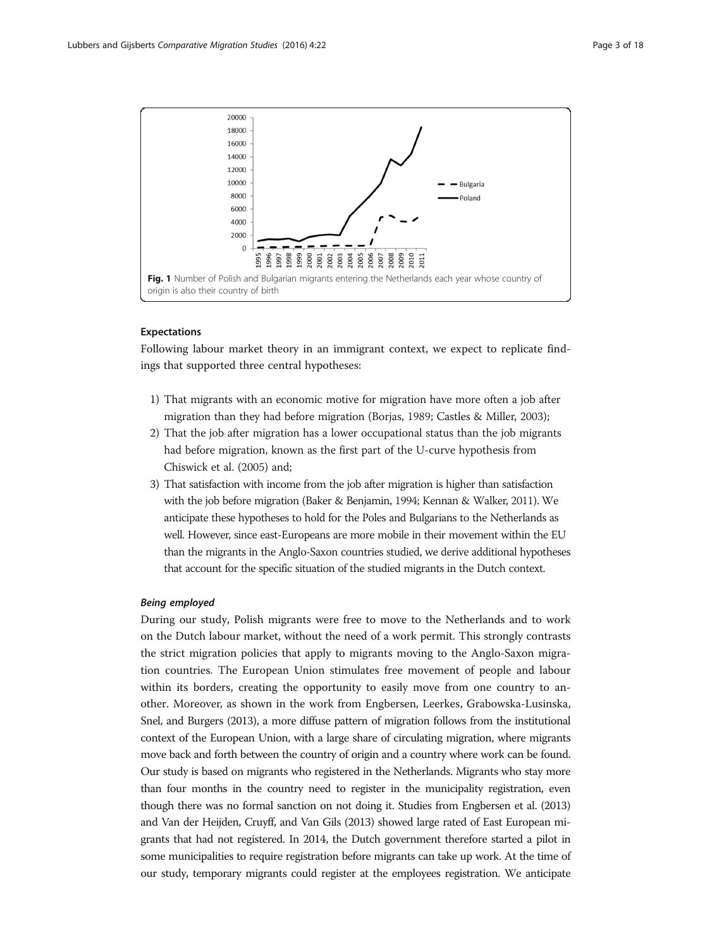<span id="page-2-0"></span>

#### Expectations

Following labour market theory in an immigrant context, we expect to replicate findings that supported three central hypotheses:

- 1) That migrants with an economic motive for migration have more often a job after migration than they had before migration (Borjas, [1989](#page-17-0); Castles & Miller, [2003\)](#page-17-0);
- 2) That the job after migration has a lower occupational status than the job migrants had before migration, known as the first part of the U-curve hypothesis from Chiswick et al. [\(2005](#page-17-0)) and;
- 3) That satisfaction with income from the job after migration is higher than satisfaction with the job before migration (Baker & Benjamin, [1994](#page-17-0); Kennan & Walker, [2011](#page-17-0)). We anticipate these hypotheses to hold for the Poles and Bulgarians to the Netherlands as well. However, since east-Europeans are more mobile in their movement within the EU than the migrants in the Anglo-Saxon countries studied, we derive additional hypotheses that account for the specific situation of the studied migrants in the Dutch context.

#### Being employed

During our study, Polish migrants were free to move to the Netherlands and to work on the Dutch labour market, without the need of a work permit. This strongly contrasts the strict migration policies that apply to migrants moving to the Anglo-Saxon migration countries. The European Union stimulates free movement of people and labour within its borders, creating the opportunity to easily move from one country to another. Moreover, as shown in the work from Engbersen, Leerkes, Grabowska-Lusinska, Snel, and Burgers [\(2013\)](#page-17-0), a more diffuse pattern of migration follows from the institutional context of the European Union, with a large share of circulating migration, where migrants move back and forth between the country of origin and a country where work can be found. Our study is based on migrants who registered in the Netherlands. Migrants who stay more than four months in the country need to register in the municipality registration, even though there was no formal sanction on not doing it. Studies from Engbersen et al. ([2013](#page-17-0)) and Van der Heijden, Cruyff, and Van Gils [\(2013](#page-17-0)) showed large rated of East European migrants that had not registered. In 2014, the Dutch government therefore started a pilot in some municipalities to require registration before migrants can take up work. At the time of our study, temporary migrants could register at the employees registration. We anticipate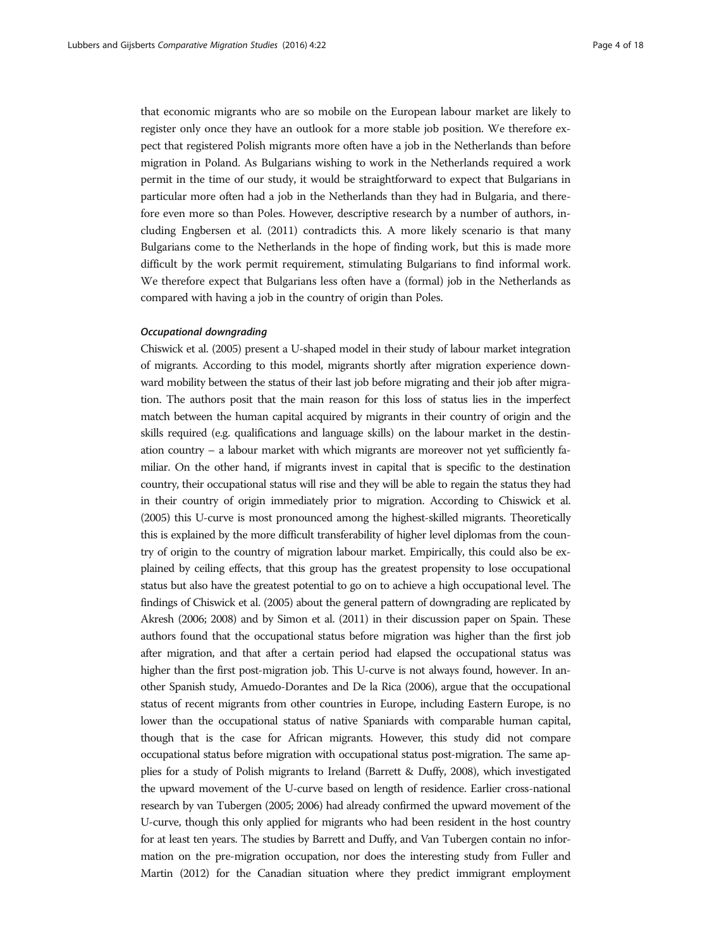that economic migrants who are so mobile on the European labour market are likely to register only once they have an outlook for a more stable job position. We therefore expect that registered Polish migrants more often have a job in the Netherlands than before migration in Poland. As Bulgarians wishing to work in the Netherlands required a work permit in the time of our study, it would be straightforward to expect that Bulgarians in particular more often had a job in the Netherlands than they had in Bulgaria, and therefore even more so than Poles. However, descriptive research by a number of authors, including Engbersen et al. ([2011\)](#page-17-0) contradicts this. A more likely scenario is that many Bulgarians come to the Netherlands in the hope of finding work, but this is made more difficult by the work permit requirement, stimulating Bulgarians to find informal work. We therefore expect that Bulgarians less often have a (formal) job in the Netherlands as compared with having a job in the country of origin than Poles.

#### Occupational downgrading

Chiswick et al. [\(2005](#page-17-0)) present a U-shaped model in their study of labour market integration of migrants. According to this model, migrants shortly after migration experience downward mobility between the status of their last job before migrating and their job after migration. The authors posit that the main reason for this loss of status lies in the imperfect match between the human capital acquired by migrants in their country of origin and the skills required (e.g. qualifications and language skills) on the labour market in the destination country – a labour market with which migrants are moreover not yet sufficiently familiar. On the other hand, if migrants invest in capital that is specific to the destination country, their occupational status will rise and they will be able to regain the status they had in their country of origin immediately prior to migration. According to Chiswick et al. ([2005](#page-17-0)) this U-curve is most pronounced among the highest-skilled migrants. Theoretically this is explained by the more difficult transferability of higher level diplomas from the country of origin to the country of migration labour market. Empirically, this could also be explained by ceiling effects, that this group has the greatest propensity to lose occupational status but also have the greatest potential to go on to achieve a high occupational level. The findings of Chiswick et al. [\(2005](#page-17-0)) about the general pattern of downgrading are replicated by Akresh [\(2006; 2008](#page-16-0)) and by Simon et al. ([2011](#page-17-0)) in their discussion paper on Spain. These authors found that the occupational status before migration was higher than the first job after migration, and that after a certain period had elapsed the occupational status was higher than the first post-migration job. This U-curve is not always found, however. In another Spanish study, Amuedo-Dorantes and De la Rica [\(2006\)](#page-17-0), argue that the occupational status of recent migrants from other countries in Europe, including Eastern Europe, is no lower than the occupational status of native Spaniards with comparable human capital, though that is the case for African migrants. However, this study did not compare occupational status before migration with occupational status post-migration. The same applies for a study of Polish migrants to Ireland (Barrett & Duffy, [2008\)](#page-17-0), which investigated the upward movement of the U-curve based on length of residence. Earlier cross-national research by van Tubergen ([2005; 2006](#page-17-0)) had already confirmed the upward movement of the U-curve, though this only applied for migrants who had been resident in the host country for at least ten years. The studies by Barrett and Duffy, and Van Tubergen contain no information on the pre-migration occupation, nor does the interesting study from Fuller and Martin [\(2012](#page-17-0)) for the Canadian situation where they predict immigrant employment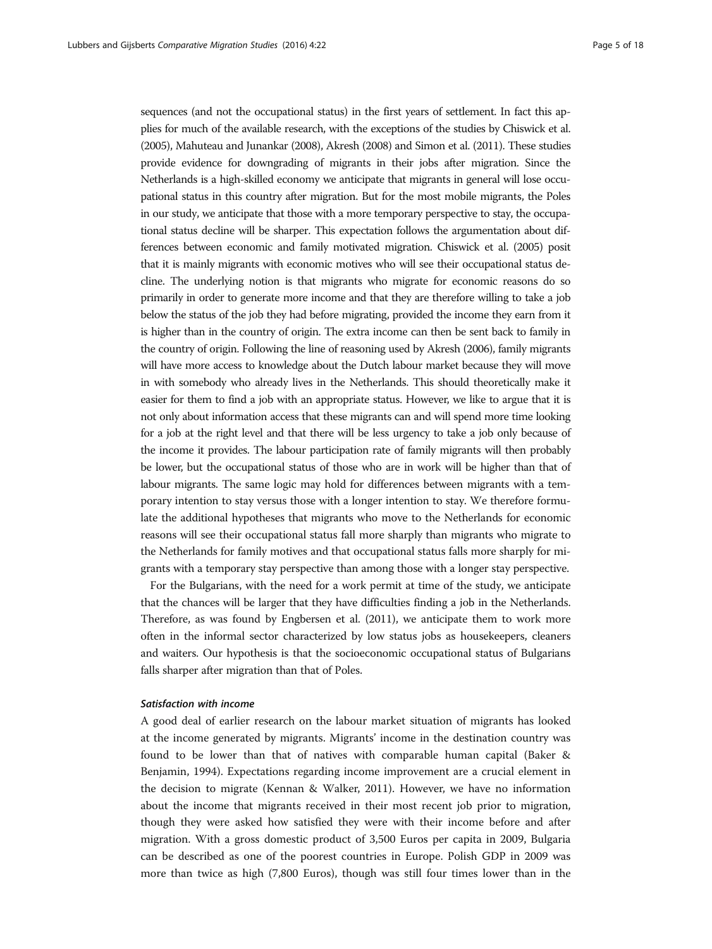sequences (and not the occupational status) in the first years of settlement. In fact this applies for much of the available research, with the exceptions of the studies by Chiswick et al. ([2005](#page-17-0)), Mahuteau and Junankar [\(2008](#page-17-0)), Akresh [\(2008\)](#page-16-0) and Simon et al. ([2011](#page-17-0)). These studies provide evidence for downgrading of migrants in their jobs after migration. Since the Netherlands is a high-skilled economy we anticipate that migrants in general will lose occupational status in this country after migration. But for the most mobile migrants, the Poles in our study, we anticipate that those with a more temporary perspective to stay, the occupational status decline will be sharper. This expectation follows the argumentation about differences between economic and family motivated migration. Chiswick et al. ([2005](#page-17-0)) posit that it is mainly migrants with economic motives who will see their occupational status decline. The underlying notion is that migrants who migrate for economic reasons do so primarily in order to generate more income and that they are therefore willing to take a job below the status of the job they had before migrating, provided the income they earn from it is higher than in the country of origin. The extra income can then be sent back to family in the country of origin. Following the line of reasoning used by Akresh ([2006](#page-16-0)), family migrants will have more access to knowledge about the Dutch labour market because they will move in with somebody who already lives in the Netherlands. This should theoretically make it easier for them to find a job with an appropriate status. However, we like to argue that it is not only about information access that these migrants can and will spend more time looking for a job at the right level and that there will be less urgency to take a job only because of the income it provides. The labour participation rate of family migrants will then probably be lower, but the occupational status of those who are in work will be higher than that of labour migrants. The same logic may hold for differences between migrants with a temporary intention to stay versus those with a longer intention to stay. We therefore formulate the additional hypotheses that migrants who move to the Netherlands for economic reasons will see their occupational status fall more sharply than migrants who migrate to the Netherlands for family motives and that occupational status falls more sharply for migrants with a temporary stay perspective than among those with a longer stay perspective.

For the Bulgarians, with the need for a work permit at time of the study, we anticipate that the chances will be larger that they have difficulties finding a job in the Netherlands. Therefore, as was found by Engbersen et al. ([2011\)](#page-17-0), we anticipate them to work more often in the informal sector characterized by low status jobs as housekeepers, cleaners and waiters. Our hypothesis is that the socioeconomic occupational status of Bulgarians falls sharper after migration than that of Poles.

#### Satisfaction with income

A good deal of earlier research on the labour market situation of migrants has looked at the income generated by migrants. Migrants' income in the destination country was found to be lower than that of natives with comparable human capital (Baker & Benjamin, [1994](#page-17-0)). Expectations regarding income improvement are a crucial element in the decision to migrate (Kennan & Walker, [2011](#page-17-0)). However, we have no information about the income that migrants received in their most recent job prior to migration, though they were asked how satisfied they were with their income before and after migration. With a gross domestic product of 3,500 Euros per capita in 2009, Bulgaria can be described as one of the poorest countries in Europe. Polish GDP in 2009 was more than twice as high (7,800 Euros), though was still four times lower than in the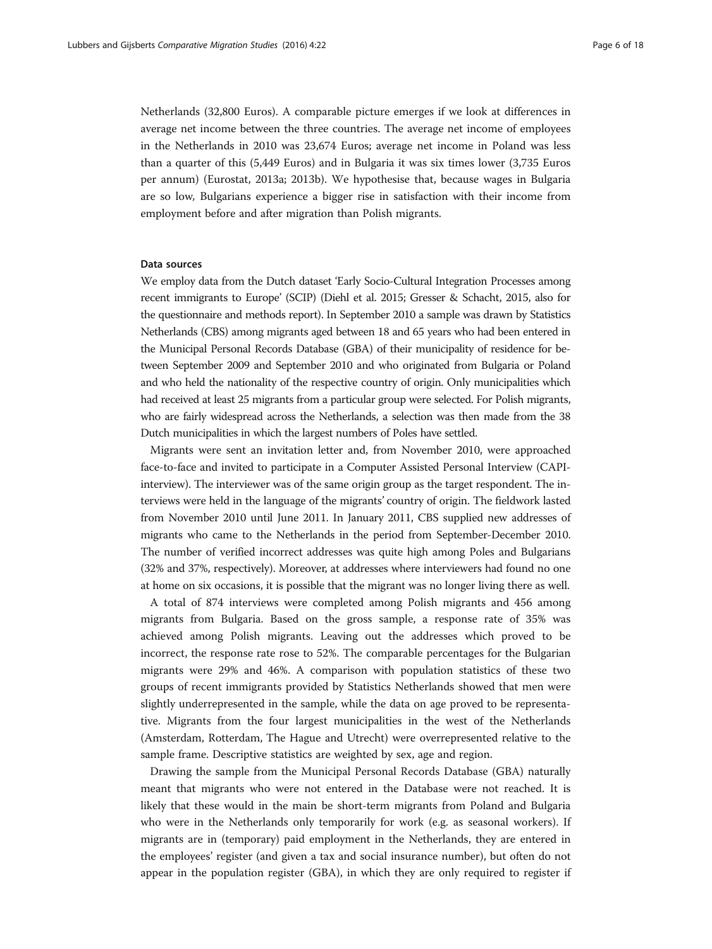Netherlands (32,800 Euros). A comparable picture emerges if we look at differences in average net income between the three countries. The average net income of employees in the Netherlands in 2010 was 23,674 Euros; average net income in Poland was less than a quarter of this (5,449 Euros) and in Bulgaria it was six times lower (3,735 Euros per annum) (Eurostat, [2013a; 2013b](#page-17-0)). We hypothesise that, because wages in Bulgaria are so low, Bulgarians experience a bigger rise in satisfaction with their income from employment before and after migration than Polish migrants.

#### Data sources

We employ data from the Dutch dataset 'Early Socio-Cultural Integration Processes among recent immigrants to Europe' (SCIP) (Diehl et al. [2015;](#page-17-0) Gresser & Schacht, [2015](#page-17-0), also for the questionnaire and methods report). In September 2010 a sample was drawn by Statistics Netherlands (CBS) among migrants aged between 18 and 65 years who had been entered in the Municipal Personal Records Database (GBA) of their municipality of residence for between September 2009 and September 2010 and who originated from Bulgaria or Poland and who held the nationality of the respective country of origin. Only municipalities which had received at least 25 migrants from a particular group were selected. For Polish migrants, who are fairly widespread across the Netherlands, a selection was then made from the 38 Dutch municipalities in which the largest numbers of Poles have settled.

Migrants were sent an invitation letter and, from November 2010, were approached face-to-face and invited to participate in a Computer Assisted Personal Interview (CAPIinterview). The interviewer was of the same origin group as the target respondent. The interviews were held in the language of the migrants' country of origin. The fieldwork lasted from November 2010 until June 2011. In January 2011, CBS supplied new addresses of migrants who came to the Netherlands in the period from September-December 2010. The number of verified incorrect addresses was quite high among Poles and Bulgarians (32% and 37%, respectively). Moreover, at addresses where interviewers had found no one at home on six occasions, it is possible that the migrant was no longer living there as well.

A total of 874 interviews were completed among Polish migrants and 456 among migrants from Bulgaria. Based on the gross sample, a response rate of 35% was achieved among Polish migrants. Leaving out the addresses which proved to be incorrect, the response rate rose to 52%. The comparable percentages for the Bulgarian migrants were 29% and 46%. A comparison with population statistics of these two groups of recent immigrants provided by Statistics Netherlands showed that men were slightly underrepresented in the sample, while the data on age proved to be representative. Migrants from the four largest municipalities in the west of the Netherlands (Amsterdam, Rotterdam, The Hague and Utrecht) were overrepresented relative to the sample frame. Descriptive statistics are weighted by sex, age and region.

Drawing the sample from the Municipal Personal Records Database (GBA) naturally meant that migrants who were not entered in the Database were not reached. It is likely that these would in the main be short-term migrants from Poland and Bulgaria who were in the Netherlands only temporarily for work (e.g. as seasonal workers). If migrants are in (temporary) paid employment in the Netherlands, they are entered in the employees' register (and given a tax and social insurance number), but often do not appear in the population register (GBA), in which they are only required to register if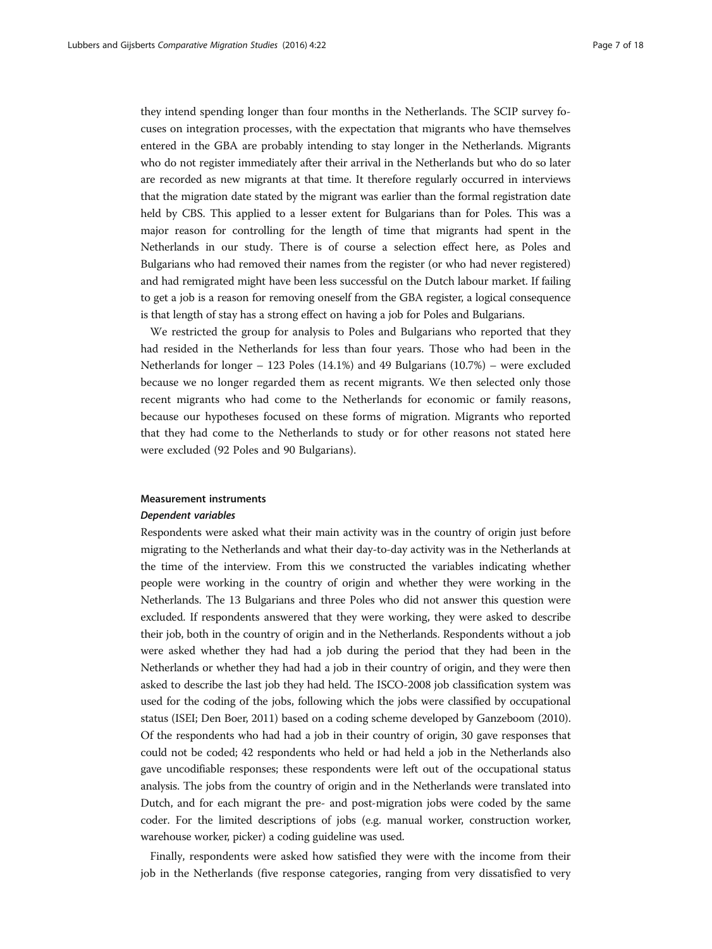they intend spending longer than four months in the Netherlands. The SCIP survey focuses on integration processes, with the expectation that migrants who have themselves entered in the GBA are probably intending to stay longer in the Netherlands. Migrants who do not register immediately after their arrival in the Netherlands but who do so later are recorded as new migrants at that time. It therefore regularly occurred in interviews that the migration date stated by the migrant was earlier than the formal registration date held by CBS. This applied to a lesser extent for Bulgarians than for Poles. This was a major reason for controlling for the length of time that migrants had spent in the Netherlands in our study. There is of course a selection effect here, as Poles and Bulgarians who had removed their names from the register (or who had never registered) and had remigrated might have been less successful on the Dutch labour market. If failing to get a job is a reason for removing oneself from the GBA register, a logical consequence is that length of stay has a strong effect on having a job for Poles and Bulgarians.

We restricted the group for analysis to Poles and Bulgarians who reported that they had resided in the Netherlands for less than four years. Those who had been in the Netherlands for longer – 123 Poles (14.1%) and 49 Bulgarians (10.7%) – were excluded because we no longer regarded them as recent migrants. We then selected only those recent migrants who had come to the Netherlands for economic or family reasons, because our hypotheses focused on these forms of migration. Migrants who reported that they had come to the Netherlands to study or for other reasons not stated here were excluded (92 Poles and 90 Bulgarians).

#### Measurement instruments

#### Dependent variables

Respondents were asked what their main activity was in the country of origin just before migrating to the Netherlands and what their day-to-day activity was in the Netherlands at the time of the interview. From this we constructed the variables indicating whether people were working in the country of origin and whether they were working in the Netherlands. The 13 Bulgarians and three Poles who did not answer this question were excluded. If respondents answered that they were working, they were asked to describe their job, both in the country of origin and in the Netherlands. Respondents without a job were asked whether they had had a job during the period that they had been in the Netherlands or whether they had had a job in their country of origin, and they were then asked to describe the last job they had held. The ISCO-2008 job classification system was used for the coding of the jobs, following which the jobs were classified by occupational status (ISEI; Den Boer, [2011\)](#page-17-0) based on a coding scheme developed by Ganzeboom [\(2010](#page-17-0)). Of the respondents who had had a job in their country of origin, 30 gave responses that could not be coded; 42 respondents who held or had held a job in the Netherlands also gave uncodifiable responses; these respondents were left out of the occupational status analysis. The jobs from the country of origin and in the Netherlands were translated into Dutch, and for each migrant the pre- and post-migration jobs were coded by the same coder. For the limited descriptions of jobs (e.g. manual worker, construction worker, warehouse worker, picker) a coding guideline was used.

Finally, respondents were asked how satisfied they were with the income from their job in the Netherlands (five response categories, ranging from very dissatisfied to very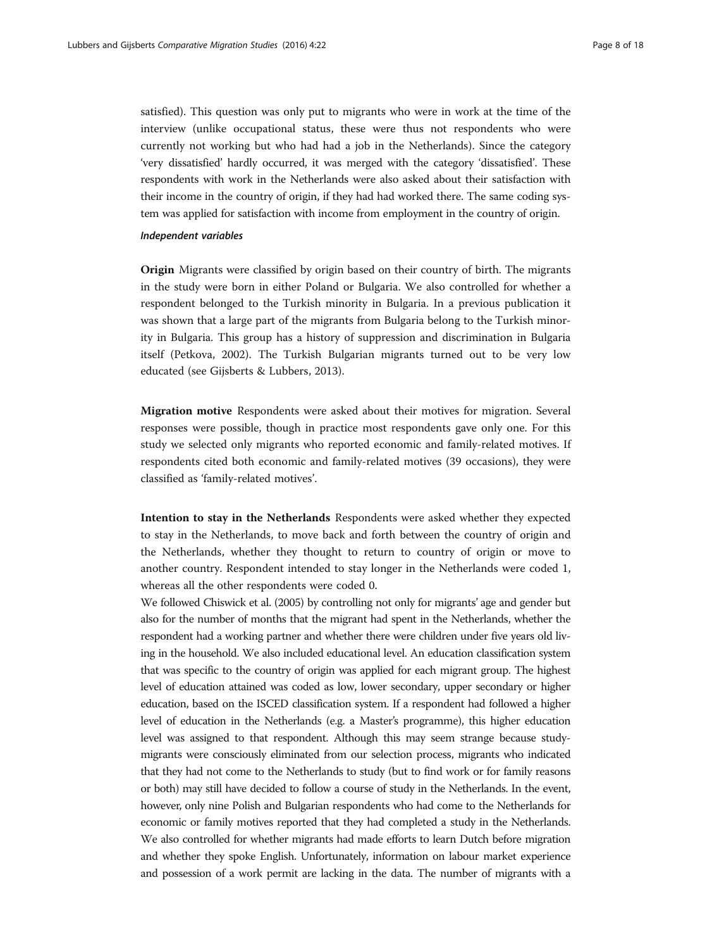satisfied). This question was only put to migrants who were in work at the time of the interview (unlike occupational status, these were thus not respondents who were currently not working but who had had a job in the Netherlands). Since the category 'very dissatisfied' hardly occurred, it was merged with the category 'dissatisfied'. These respondents with work in the Netherlands were also asked about their satisfaction with their income in the country of origin, if they had had worked there. The same coding system was applied for satisfaction with income from employment in the country of origin.

#### Independent variables

Origin Migrants were classified by origin based on their country of birth. The migrants in the study were born in either Poland or Bulgaria. We also controlled for whether a respondent belonged to the Turkish minority in Bulgaria. In a previous publication it was shown that a large part of the migrants from Bulgaria belong to the Turkish minority in Bulgaria. This group has a history of suppression and discrimination in Bulgaria itself (Petkova, [2002](#page-17-0)). The Turkish Bulgarian migrants turned out to be very low educated (see Gijsberts & Lubbers, [2013\)](#page-17-0).

Migration motive Respondents were asked about their motives for migration. Several responses were possible, though in practice most respondents gave only one. For this study we selected only migrants who reported economic and family-related motives. If respondents cited both economic and family-related motives (39 occasions), they were classified as 'family-related motives'.

Intention to stay in the Netherlands Respondents were asked whether they expected to stay in the Netherlands, to move back and forth between the country of origin and the Netherlands, whether they thought to return to country of origin or move to another country. Respondent intended to stay longer in the Netherlands were coded 1, whereas all the other respondents were coded 0.

We followed Chiswick et al. ([2005](#page-17-0)) by controlling not only for migrants' age and gender but also for the number of months that the migrant had spent in the Netherlands, whether the respondent had a working partner and whether there were children under five years old living in the household. We also included educational level. An education classification system that was specific to the country of origin was applied for each migrant group. The highest level of education attained was coded as low, lower secondary, upper secondary or higher education, based on the ISCED classification system. If a respondent had followed a higher level of education in the Netherlands (e.g. a Master's programme), this higher education level was assigned to that respondent. Although this may seem strange because studymigrants were consciously eliminated from our selection process, migrants who indicated that they had not come to the Netherlands to study (but to find work or for family reasons or both) may still have decided to follow a course of study in the Netherlands. In the event, however, only nine Polish and Bulgarian respondents who had come to the Netherlands for economic or family motives reported that they had completed a study in the Netherlands. We also controlled for whether migrants had made efforts to learn Dutch before migration and whether they spoke English. Unfortunately, information on labour market experience and possession of a work permit are lacking in the data. The number of migrants with a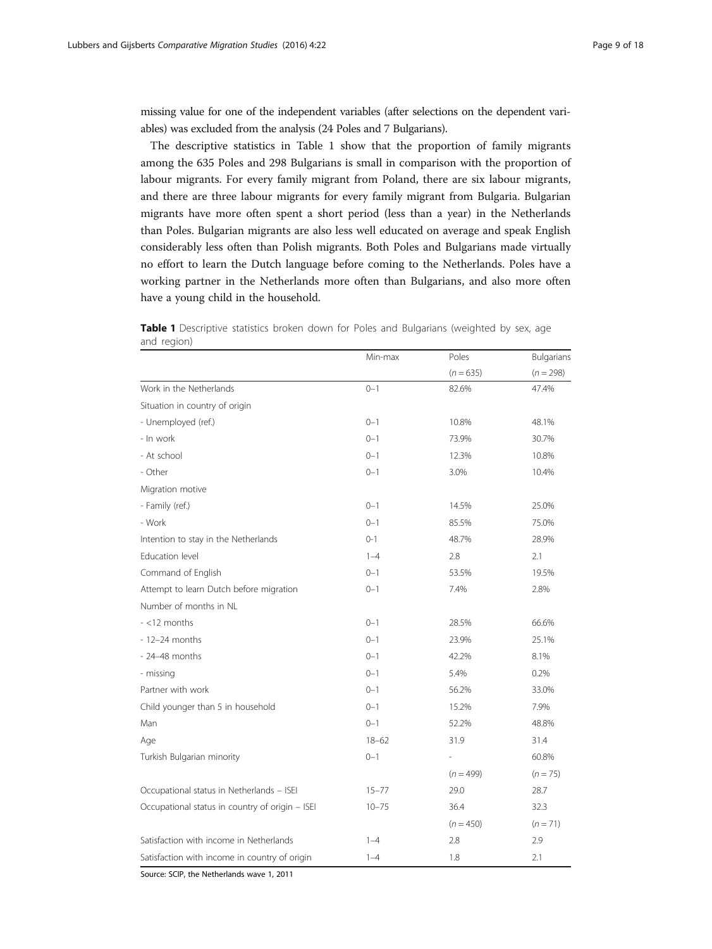missing value for one of the independent variables (after selections on the dependent variables) was excluded from the analysis (24 Poles and 7 Bulgarians).

The descriptive statistics in Table 1 show that the proportion of family migrants among the 635 Poles and 298 Bulgarians is small in comparison with the proportion of labour migrants. For every family migrant from Poland, there are six labour migrants, and there are three labour migrants for every family migrant from Bulgaria. Bulgarian migrants have more often spent a short period (less than a year) in the Netherlands than Poles. Bulgarian migrants are also less well educated on average and speak English considerably less often than Polish migrants. Both Poles and Bulgarians made virtually no effort to learn the Dutch language before coming to the Netherlands. Poles have a working partner in the Netherlands more often than Bulgarians, and also more often have a young child in the household.

| <b>Table 1</b> Descriptive statistics broken down for Poles and Bulgarians (weighted by sex, age |  |  |  |  |  |  |
|--------------------------------------------------------------------------------------------------|--|--|--|--|--|--|
| and region)                                                                                      |  |  |  |  |  |  |

|                                                 | Min-max   | Poles       | Bulgarians  |
|-------------------------------------------------|-----------|-------------|-------------|
|                                                 |           | $(n = 635)$ | $(n = 298)$ |
| Work in the Netherlands                         | $0 - 1$   | 82.6%       | 47.4%       |
| Situation in country of origin                  |           |             |             |
| - Unemployed (ref.)                             | $0 - 1$   | 10.8%       | 48.1%       |
| - In work                                       | $0 - 1$   | 73.9%       | 30.7%       |
| - At school                                     | $0 - 1$   | 12.3%       | 10.8%       |
| - Other                                         | $0 - 1$   | 3.0%        | 10.4%       |
| Migration motive                                |           |             |             |
| - Family (ref.)                                 | $() - 1$  | 14.5%       | 25.0%       |
| - Work                                          | $0 - 1$   | 85.5%       | 75.0%       |
| Intention to stay in the Netherlands            | $0 - 1$   | 48.7%       | 28.9%       |
| Education level                                 | $1 - 4$   | 2.8         | 2.1         |
| Command of English                              | $0 - 1$   | 53.5%       | 19.5%       |
| Attempt to learn Dutch before migration         | $0 - 1$   | 7.4%        | 2.8%        |
| Number of months in NL                          |           |             |             |
| $-$ <12 months                                  | $() - 1$  | 28.5%       | 66.6%       |
| - 12-24 months                                  | $0 - 1$   | 23.9%       | 25.1%       |
| - 24-48 months                                  | $0 - 1$   | 42.2%       | 8.1%        |
| - missing                                       | $0 - 1$   | 5.4%        | 0.2%        |
| Partner with work                               | $0 - 1$   | 56.2%       | 33.0%       |
| Child younger than 5 in household               | $0 - 1$   | 15.2%       | 7.9%        |
| Man                                             | $() - 1$  | 52.2%       | 48.8%       |
| Age                                             | $18 - 62$ | 31.9        | 31.4        |
| Turkish Bulgarian minority                      | $0 - 1$   |             | 60.8%       |
|                                                 |           | $(n = 499)$ | $(n = 75)$  |
| Occupational status in Netherlands - ISEI       | $15 - 77$ | 29.0        | 28.7        |
| Occupational status in country of origin - ISEI | $10 - 75$ | 36.4        | 32.3        |
|                                                 |           | $(n = 450)$ | $(n = 71)$  |
| Satisfaction with income in Netherlands         | $1 - 4$   | 2.8         | 2.9         |
| Satisfaction with income in country of origin   | $1 - 4$   | 1.8         | 2.1         |

Source: SCIP, the Netherlands wave 1, 2011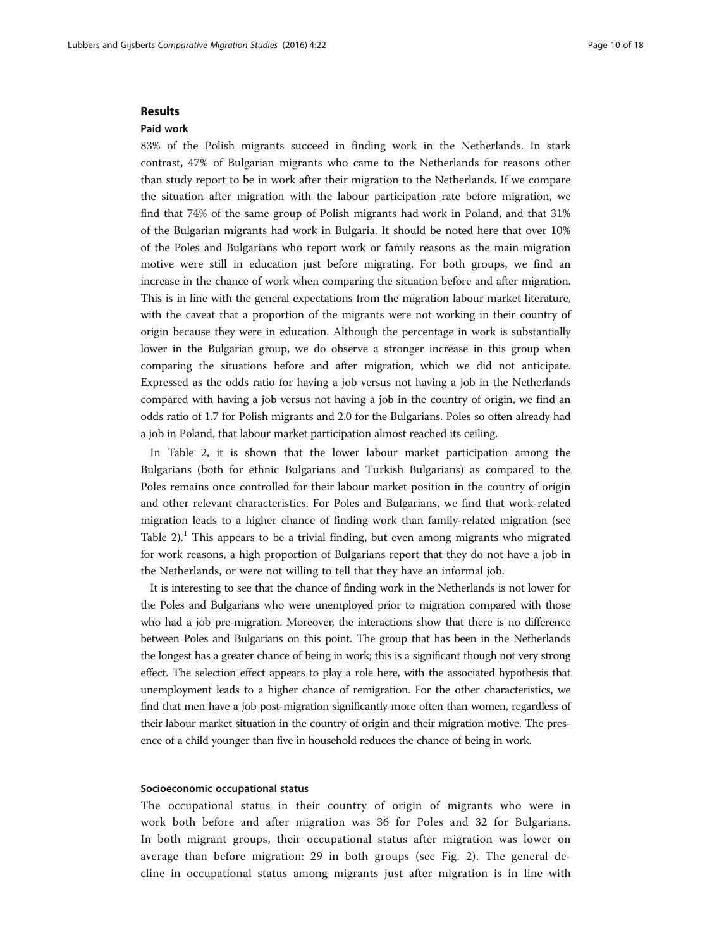#### Results

#### Paid work

83% of the Polish migrants succeed in finding work in the Netherlands. In stark contrast, 47% of Bulgarian migrants who came to the Netherlands for reasons other than study report to be in work after their migration to the Netherlands. If we compare the situation after migration with the labour participation rate before migration, we find that 74% of the same group of Polish migrants had work in Poland, and that 31% of the Bulgarian migrants had work in Bulgaria. It should be noted here that over 10% of the Poles and Bulgarians who report work or family reasons as the main migration motive were still in education just before migrating. For both groups, we find an increase in the chance of work when comparing the situation before and after migration. This is in line with the general expectations from the migration labour market literature, with the caveat that a proportion of the migrants were not working in their country of origin because they were in education. Although the percentage in work is substantially lower in the Bulgarian group, we do observe a stronger increase in this group when comparing the situations before and after migration, which we did not anticipate. Expressed as the odds ratio for having a job versus not having a job in the Netherlands compared with having a job versus not having a job in the country of origin, we find an odds ratio of 1.7 for Polish migrants and 2.0 for the Bulgarians. Poles so often already had a job in Poland, that labour market participation almost reached its ceiling.

In Table [2](#page-10-0), it is shown that the lower labour market participation among the Bulgarians (both for ethnic Bulgarians and Turkish Bulgarians) as compared to the Poles remains once controlled for their labour market position in the country of origin and other relevant characteristics. For Poles and Bulgarians, we find that work-related migration leads to a higher chance of finding work than family-related migration (see Table  $2$ ).<sup>1</sup> This appears to be a trivial finding, but even among migrants who migrated for work reasons, a high proportion of Bulgarians report that they do not have a job in the Netherlands, or were not willing to tell that they have an informal job.

It is interesting to see that the chance of finding work in the Netherlands is not lower for the Poles and Bulgarians who were unemployed prior to migration compared with those who had a job pre-migration. Moreover, the interactions show that there is no difference between Poles and Bulgarians on this point. The group that has been in the Netherlands the longest has a greater chance of being in work; this is a significant though not very strong effect. The selection effect appears to play a role here, with the associated hypothesis that unemployment leads to a higher chance of remigration. For the other characteristics, we find that men have a job post-migration significantly more often than women, regardless of their labour market situation in the country of origin and their migration motive. The presence of a child younger than five in household reduces the chance of being in work.

#### Socioeconomic occupational status

The occupational status in their country of origin of migrants who were in work both before and after migration was 36 for Poles and 32 for Bulgarians. In both migrant groups, their occupational status after migration was lower on average than before migration: 29 in both groups (see Fig. [2](#page-11-0)). The general decline in occupational status among migrants just after migration is in line with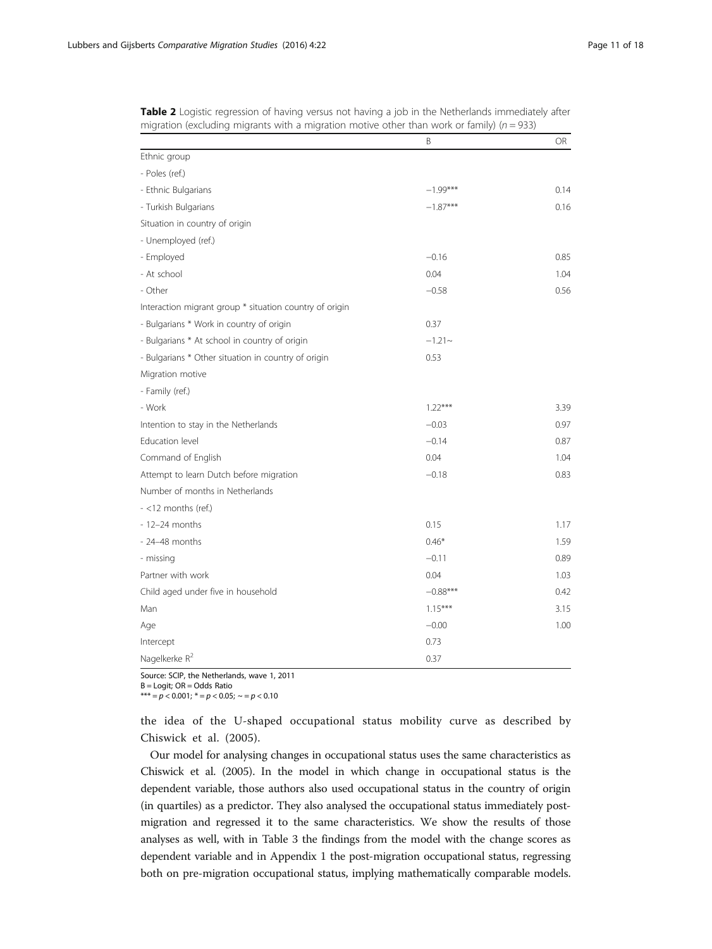|                                                         | B          | OR   |
|---------------------------------------------------------|------------|------|
| Ethnic group                                            |            |      |
| - Poles (ref.)                                          |            |      |
| - Ethnic Bulgarians                                     | $-1.99***$ | 0.14 |
| - Turkish Bulgarians                                    | $-1.87***$ | 0.16 |
| Situation in country of origin                          |            |      |
| - Unemployed (ref.)                                     |            |      |
| - Employed                                              | $-0.16$    | 0.85 |
| - At school                                             | 0.04       | 1.04 |
| - Other                                                 | $-0.58$    | 0.56 |
| Interaction migrant group * situation country of origin |            |      |
| - Bulgarians * Work in country of origin                | 0.37       |      |
| - Bulgarians * At school in country of origin           | $-1.21-$   |      |
| - Bulgarians * Other situation in country of origin     | 0.53       |      |
| Migration motive                                        |            |      |
| - Family (ref.)                                         |            |      |
| - Work                                                  | $1.22***$  | 3.39 |
| Intention to stay in the Netherlands                    | $-0.03$    | 0.97 |
| Education level                                         | $-0.14$    | 0.87 |
| Command of English                                      | 0.04       | 1.04 |
| Attempt to learn Dutch before migration                 | $-0.18$    | 0.83 |
| Number of months in Netherlands                         |            |      |
| $-$ <12 months (ref.)                                   |            |      |
| $-12-24$ months                                         | 0.15       | 1.17 |
| $-24-48$ months                                         | $0.46*$    | 1.59 |
| - missing                                               | $-0.11$    | 0.89 |
| Partner with work                                       | 0.04       | 1.03 |
| Child aged under five in household                      | $-0.88***$ | 0.42 |
| Man                                                     | $1.15***$  | 3.15 |
| Age                                                     | $-0.00$    | 1.00 |
| Intercept                                               | 0.73       |      |
| Nagelkerke R <sup>2</sup>                               | 0.37       |      |

<span id="page-10-0"></span>Table 2 Logistic regression of having versus not having a job in the Netherlands immediately after migration (excluding migrants with a migration motive other than work or family) ( $n = 933$ )

Source: SCIP, the Netherlands, wave 1, 2011

B = Logit; OR = Odds Ratio

\*\*\* =  $p < 0.001$ ; \* =  $p < 0.05$ ; ~ =  $p < 0.10$ 

the idea of the U-shaped occupational status mobility curve as described by Chiswick et al. ([2005](#page-17-0)).

Our model for analysing changes in occupational status uses the same characteristics as Chiswick et al. ([2005](#page-17-0)). In the model in which change in occupational status is the dependent variable, those authors also used occupational status in the country of origin (in quartiles) as a predictor. They also analysed the occupational status immediately postmigration and regressed it to the same characteristics. We show the results of those analyses as well, with in Table [3](#page-11-0) the findings from the model with the change scores as dependent variable and in [Appendix 1](#page-16-0) the post-migration occupational status, regressing both on pre-migration occupational status, implying mathematically comparable models.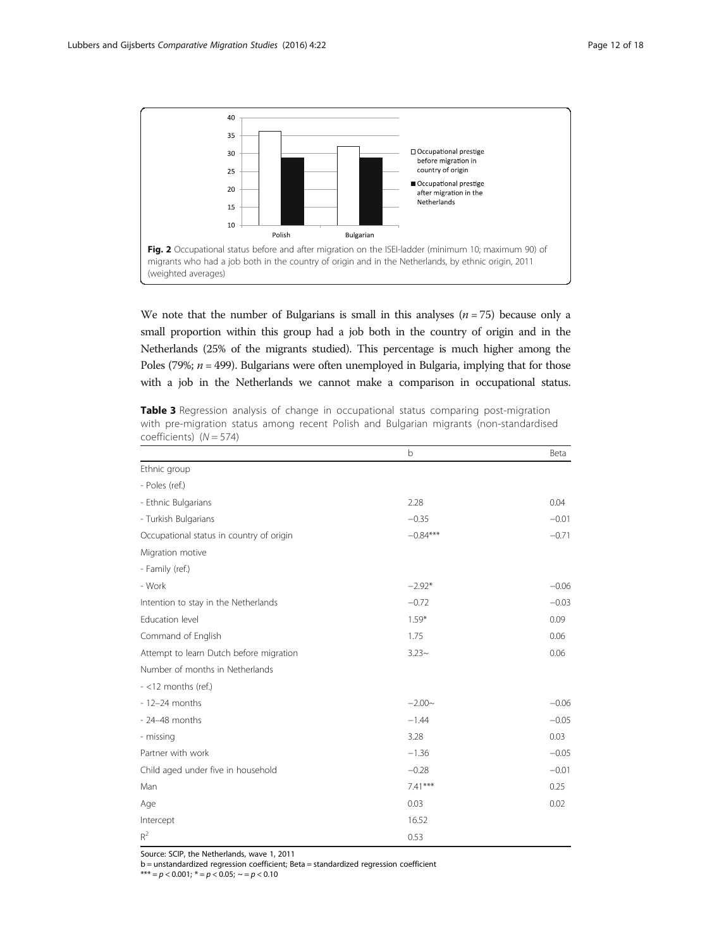<span id="page-11-0"></span>

We note that the number of Bulgarians is small in this analyses  $(n = 75)$  because only a small proportion within this group had a job both in the country of origin and in the Netherlands (25% of the migrants studied). This percentage is much higher among the Poles (79%;  $n = 499$ ). Bulgarians were often unemployed in Bulgaria, implying that for those with a job in the Netherlands we cannot make a comparison in occupational status.

|                                          | b          | Beta    |
|------------------------------------------|------------|---------|
| Ethnic group                             |            |         |
| - Poles (ref.)                           |            |         |
| - Ethnic Bulgarians                      | 2.28       | 0.04    |
| - Turkish Bulgarians                     | $-0.35$    | $-0.01$ |
| Occupational status in country of origin | $-0.84***$ | $-0.71$ |
| Migration motive                         |            |         |
| - Family (ref.)                          |            |         |
| - Work                                   | $-2.92*$   | $-0.06$ |
| Intention to stay in the Netherlands     | $-0.72$    | $-0.03$ |
| Education level                          | $1.59*$    | 0.09    |
| Command of English                       | 1.75       | 0.06    |
| Attempt to learn Dutch before migration  | $3.23 -$   | 0.06    |
| Number of months in Netherlands          |            |         |
| $-$ <12 months (ref.)                    |            |         |
| $-12-24$ months                          | $-2.00-$   | $-0.06$ |
| $-24-48$ months                          | $-1.44$    | $-0.05$ |
| - missing                                | 3.28       | 0.03    |
| Partner with work                        | $-1.36$    | $-0.05$ |
| Child aged under five in household       | $-0.28$    | $-0.01$ |
| Man                                      | $7.41***$  | 0.25    |
| Age                                      | 0.03       | 0.02    |
| Intercept                                | 16.52      |         |
| $R^2$                                    | 0.53       |         |

Table 3 Regression analysis of change in occupational status comparing post-migration with pre-migration status among recent Polish and Bulgarian migrants (non-standardised coefficients)  $(N = 574)$ 

Source: SCIP, the Netherlands, wave 1, 2011

b = unstandardized regression coefficient; Beta = standardized regression coefficient

\*\*\* =  $p < 0.001$ ; \* =  $p < 0.05$ ; ~ =  $p < 0.10$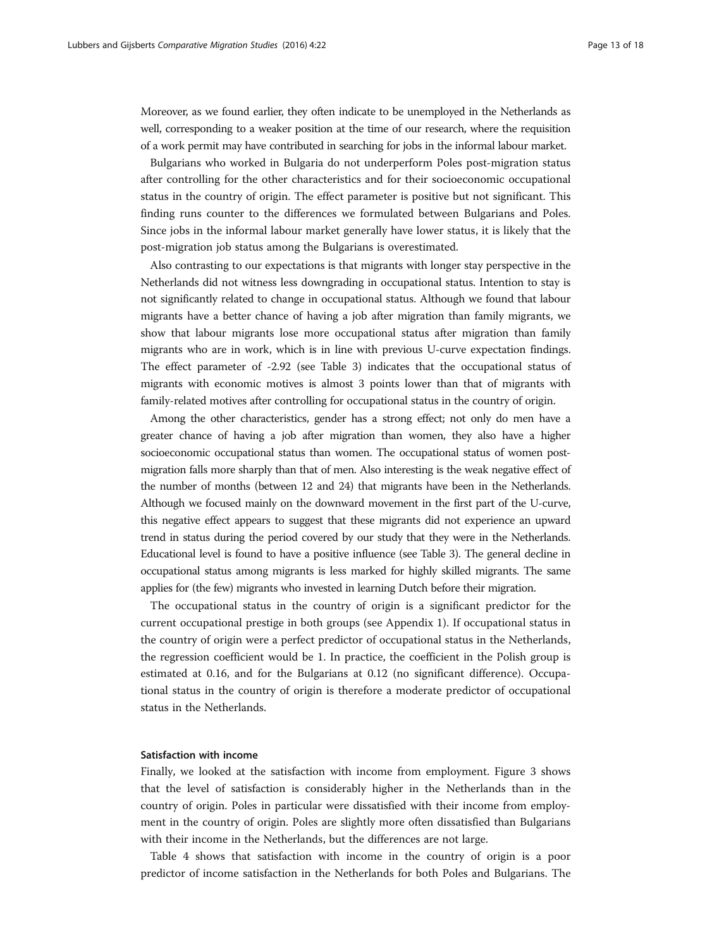Moreover, as we found earlier, they often indicate to be unemployed in the Netherlands as well, corresponding to a weaker position at the time of our research, where the requisition of a work permit may have contributed in searching for jobs in the informal labour market.

Bulgarians who worked in Bulgaria do not underperform Poles post-migration status after controlling for the other characteristics and for their socioeconomic occupational status in the country of origin. The effect parameter is positive but not significant. This finding runs counter to the differences we formulated between Bulgarians and Poles. Since jobs in the informal labour market generally have lower status, it is likely that the post-migration job status among the Bulgarians is overestimated.

Also contrasting to our expectations is that migrants with longer stay perspective in the Netherlands did not witness less downgrading in occupational status. Intention to stay is not significantly related to change in occupational status. Although we found that labour migrants have a better chance of having a job after migration than family migrants, we show that labour migrants lose more occupational status after migration than family migrants who are in work, which is in line with previous U-curve expectation findings. The effect parameter of -2.92 (see Table [3\)](#page-11-0) indicates that the occupational status of migrants with economic motives is almost 3 points lower than that of migrants with family-related motives after controlling for occupational status in the country of origin.

Among the other characteristics, gender has a strong effect; not only do men have a greater chance of having a job after migration than women, they also have a higher socioeconomic occupational status than women. The occupational status of women postmigration falls more sharply than that of men. Also interesting is the weak negative effect of the number of months (between 12 and 24) that migrants have been in the Netherlands. Although we focused mainly on the downward movement in the first part of the U-curve, this negative effect appears to suggest that these migrants did not experience an upward trend in status during the period covered by our study that they were in the Netherlands. Educational level is found to have a positive influence (see Table [3\)](#page-11-0). The general decline in occupational status among migrants is less marked for highly skilled migrants. The same applies for (the few) migrants who invested in learning Dutch before their migration.

The occupational status in the country of origin is a significant predictor for the current occupational prestige in both groups (see [Appendix 1\)](#page-16-0). If occupational status in the country of origin were a perfect predictor of occupational status in the Netherlands, the regression coefficient would be 1. In practice, the coefficient in the Polish group is estimated at 0.16, and for the Bulgarians at 0.12 (no significant difference). Occupational status in the country of origin is therefore a moderate predictor of occupational status in the Netherlands.

#### Satisfaction with income

Finally, we looked at the satisfaction with income from employment. Figure [3](#page-13-0) shows that the level of satisfaction is considerably higher in the Netherlands than in the country of origin. Poles in particular were dissatisfied with their income from employment in the country of origin. Poles are slightly more often dissatisfied than Bulgarians with their income in the Netherlands, but the differences are not large.

Table [4](#page-13-0) shows that satisfaction with income in the country of origin is a poor predictor of income satisfaction in the Netherlands for both Poles and Bulgarians. The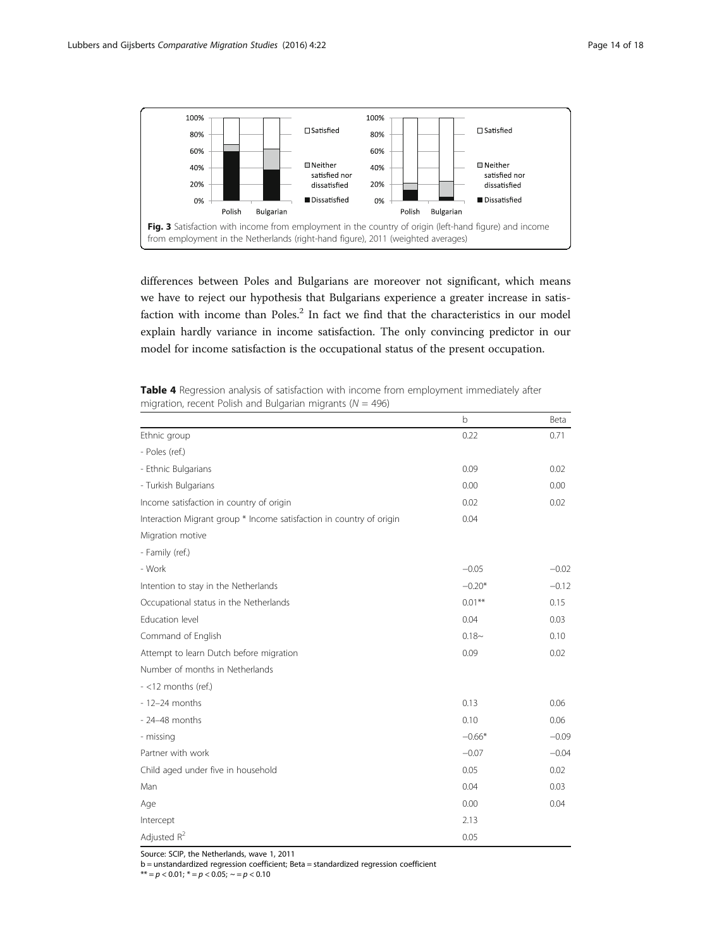<span id="page-13-0"></span>

differences between Poles and Bulgarians are moreover not significant, which means we have to reject our hypothesis that Bulgarians experience a greater increase in satisfaction with income than Poles. $<sup>2</sup>$  In fact we find that the characteristics in our model</sup> explain hardly variance in income satisfaction. The only convincing predictor in our model for income satisfaction is the occupational status of the present occupation.

Table 4 Regression analysis of satisfaction with income from employment immediately after migration, recent Polish and Bulgarian migrants ( $N = 496$ )

|                                                                      | b         | Beta    |
|----------------------------------------------------------------------|-----------|---------|
| Ethnic group                                                         | 0.22      | 0.71    |
| - Poles (ref.)                                                       |           |         |
| - Ethnic Bulgarians                                                  | 0.09      | 0.02    |
| - Turkish Bulgarians                                                 | 0.00      | 0.00    |
| Income satisfaction in country of origin                             | 0.02      | 0.02    |
| Interaction Migrant group * Income satisfaction in country of origin | 0.04      |         |
| Migration motive                                                     |           |         |
| - Family (ref.)                                                      |           |         |
| - Work                                                               | $-0.05$   | $-0.02$ |
| Intention to stay in the Netherlands                                 | $-0.20*$  | $-0.12$ |
| Occupational status in the Netherlands                               | $0.01***$ | 0.15    |
| Education level                                                      | 0.04      | 0.03    |
| Command of English                                                   | $0.18 -$  | 0.10    |
| Attempt to learn Dutch before migration                              | 0.09      | 0.02    |
| Number of months in Netherlands                                      |           |         |
| $-$ <12 months (ref.)                                                |           |         |
| $-12-24$ months                                                      | 0.13      | 0.06    |
| $-24-48$ months                                                      | 0.10      | 0.06    |
| - missing                                                            | $-0.66*$  | $-0.09$ |
| Partner with work                                                    | $-0.07$   | $-0.04$ |
| Child aged under five in household                                   | 0.05      | 0.02    |
| Man                                                                  | 0.04      | 0.03    |
| Age                                                                  | 0.00      | 0.04    |
| Intercept                                                            | 2.13      |         |
| Adjusted R <sup>2</sup>                                              | 0.05      |         |

Source: SCIP, the Netherlands, wave 1, 2011

b = unstandardized regression coefficient; Beta = standardized regression coefficient

 $^{**}$   $=$   $p$   $<$  0.01;  $^{*}$   $=$   $p$   $<$  0.05;  $\sim$   $=$   $p$   $<$  0.10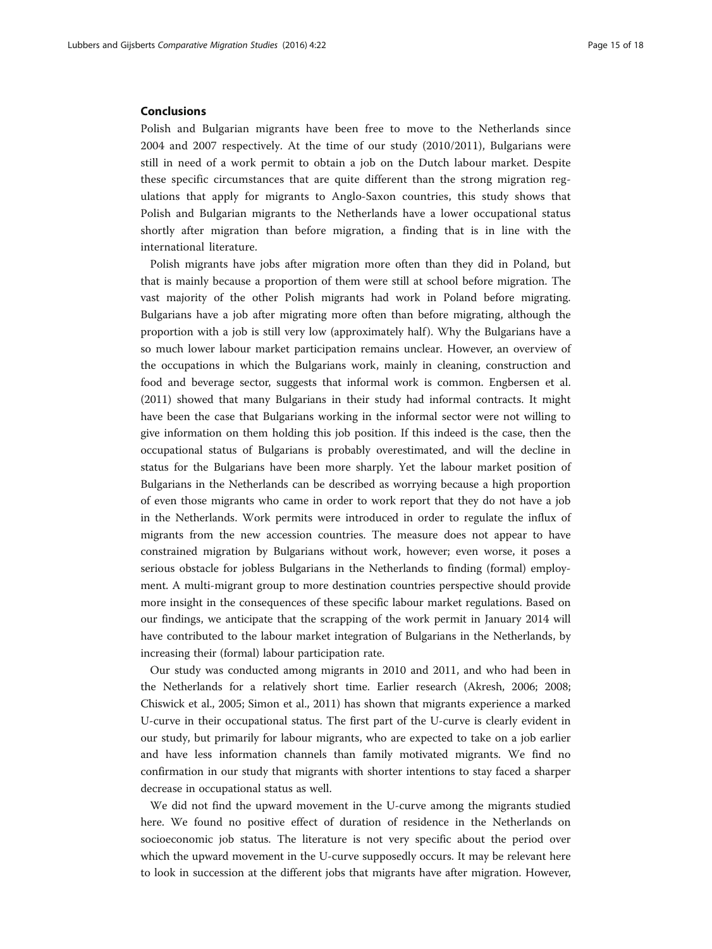#### Conclusions

Polish and Bulgarian migrants have been free to move to the Netherlands since 2004 and 2007 respectively. At the time of our study (2010/2011), Bulgarians were still in need of a work permit to obtain a job on the Dutch labour market. Despite these specific circumstances that are quite different than the strong migration regulations that apply for migrants to Anglo-Saxon countries, this study shows that Polish and Bulgarian migrants to the Netherlands have a lower occupational status shortly after migration than before migration, a finding that is in line with the international literature.

Polish migrants have jobs after migration more often than they did in Poland, but that is mainly because a proportion of them were still at school before migration. The vast majority of the other Polish migrants had work in Poland before migrating. Bulgarians have a job after migrating more often than before migrating, although the proportion with a job is still very low (approximately half ). Why the Bulgarians have a so much lower labour market participation remains unclear. However, an overview of the occupations in which the Bulgarians work, mainly in cleaning, construction and food and beverage sector, suggests that informal work is common. Engbersen et al. ([2011](#page-17-0)) showed that many Bulgarians in their study had informal contracts. It might have been the case that Bulgarians working in the informal sector were not willing to give information on them holding this job position. If this indeed is the case, then the occupational status of Bulgarians is probably overestimated, and will the decline in status for the Bulgarians have been more sharply. Yet the labour market position of Bulgarians in the Netherlands can be described as worrying because a high proportion of even those migrants who came in order to work report that they do not have a job in the Netherlands. Work permits were introduced in order to regulate the influx of migrants from the new accession countries. The measure does not appear to have constrained migration by Bulgarians without work, however; even worse, it poses a serious obstacle for jobless Bulgarians in the Netherlands to finding (formal) employment. A multi-migrant group to more destination countries perspective should provide more insight in the consequences of these specific labour market regulations. Based on our findings, we anticipate that the scrapping of the work permit in January 2014 will have contributed to the labour market integration of Bulgarians in the Netherlands, by increasing their (formal) labour participation rate.

Our study was conducted among migrants in 2010 and 2011, and who had been in the Netherlands for a relatively short time. Earlier research (Akresh, [2006; 2008](#page-16-0); Chiswick et al., [2005](#page-17-0); Simon et al., [2011\)](#page-17-0) has shown that migrants experience a marked U-curve in their occupational status. The first part of the U-curve is clearly evident in our study, but primarily for labour migrants, who are expected to take on a job earlier and have less information channels than family motivated migrants. We find no confirmation in our study that migrants with shorter intentions to stay faced a sharper decrease in occupational status as well.

We did not find the upward movement in the U-curve among the migrants studied here. We found no positive effect of duration of residence in the Netherlands on socioeconomic job status. The literature is not very specific about the period over which the upward movement in the U-curve supposedly occurs. It may be relevant here to look in succession at the different jobs that migrants have after migration. However,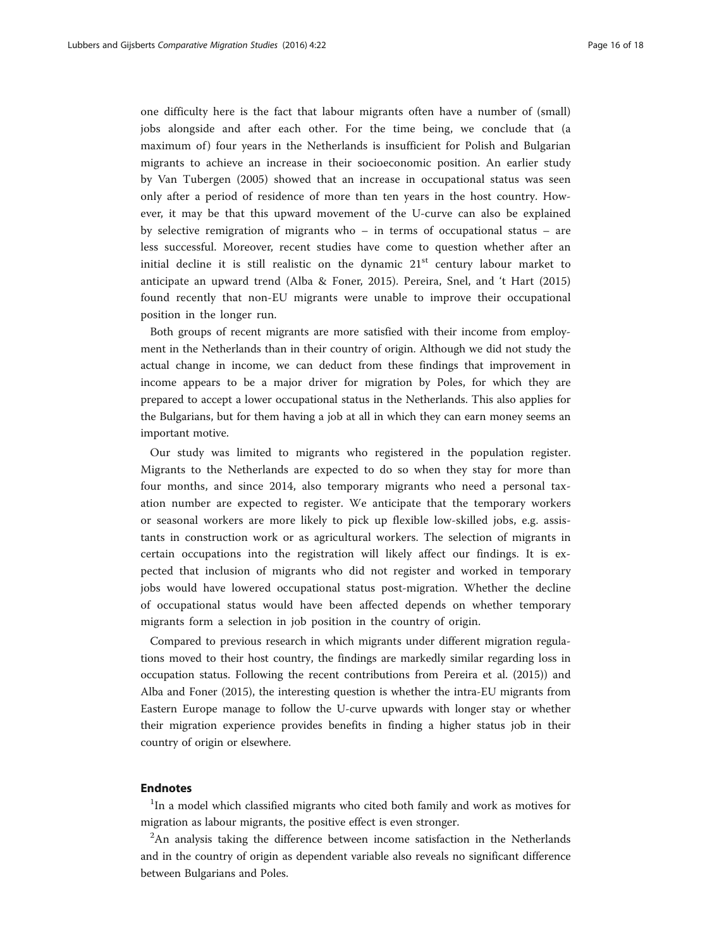one difficulty here is the fact that labour migrants often have a number of (small) jobs alongside and after each other. For the time being, we conclude that (a maximum of) four years in the Netherlands is insufficient for Polish and Bulgarian migrants to achieve an increase in their socioeconomic position. An earlier study by Van Tubergen [\(2005](#page-17-0)) showed that an increase in occupational status was seen only after a period of residence of more than ten years in the host country. However, it may be that this upward movement of the U-curve can also be explained by selective remigration of migrants who – in terms of occupational status – are less successful. Moreover, recent studies have come to question whether after an initial decline it is still realistic on the dynamic  $21<sup>st</sup>$  century labour market to anticipate an upward trend (Alba & Foner, [2015](#page-17-0)). Pereira, Snel, and 't Hart [\(2015](#page-17-0)) found recently that non-EU migrants were unable to improve their occupational position in the longer run.

Both groups of recent migrants are more satisfied with their income from employment in the Netherlands than in their country of origin. Although we did not study the actual change in income, we can deduct from these findings that improvement in income appears to be a major driver for migration by Poles, for which they are prepared to accept a lower occupational status in the Netherlands. This also applies for the Bulgarians, but for them having a job at all in which they can earn money seems an important motive.

Our study was limited to migrants who registered in the population register. Migrants to the Netherlands are expected to do so when they stay for more than four months, and since 2014, also temporary migrants who need a personal taxation number are expected to register. We anticipate that the temporary workers or seasonal workers are more likely to pick up flexible low-skilled jobs, e.g. assistants in construction work or as agricultural workers. The selection of migrants in certain occupations into the registration will likely affect our findings. It is expected that inclusion of migrants who did not register and worked in temporary jobs would have lowered occupational status post-migration. Whether the decline of occupational status would have been affected depends on whether temporary migrants form a selection in job position in the country of origin.

Compared to previous research in which migrants under different migration regulations moved to their host country, the findings are markedly similar regarding loss in occupation status. Following the recent contributions from Pereira et al. [\(2015\)](#page-17-0)) and Alba and Foner [\(2015](#page-17-0)), the interesting question is whether the intra-EU migrants from Eastern Europe manage to follow the U-curve upwards with longer stay or whether their migration experience provides benefits in finding a higher status job in their country of origin or elsewhere.

## Endnotes

<sup>1</sup>In a model which classified migrants who cited both family and work as motives for migration as labour migrants, the positive effect is even stronger.

 $2$ An analysis taking the difference between income satisfaction in the Netherlands and in the country of origin as dependent variable also reveals no significant difference between Bulgarians and Poles.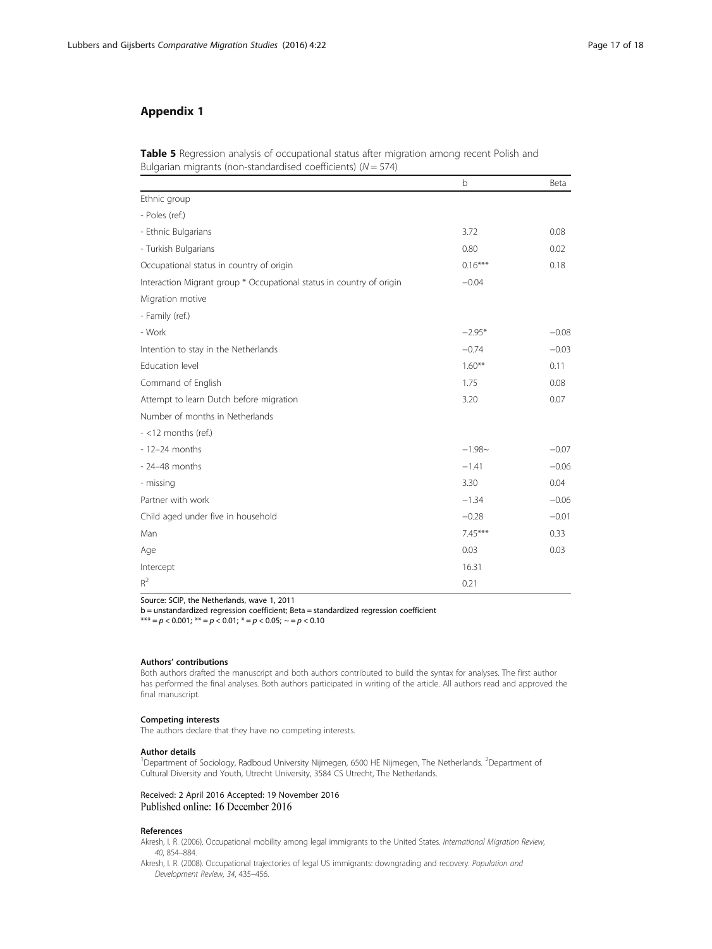## <span id="page-16-0"></span>Appendix 1

| baiganan milyianto (non standardisca cocincicrito) (11 – 57 –)       | b         | Beta    |
|----------------------------------------------------------------------|-----------|---------|
| Ethnic group                                                         |           |         |
|                                                                      |           |         |
| - Poles (ref.)                                                       |           |         |
| - Ethnic Bulgarians                                                  | 3.72      | 0.08    |
| - Turkish Bulgarians                                                 | 0.80      | 0.02    |
| Occupational status in country of origin                             | $0.16***$ | 0.18    |
| Interaction Migrant group * Occupational status in country of origin | $-0.04$   |         |
| Migration motive                                                     |           |         |
| - Family (ref.)                                                      |           |         |
| - Work                                                               | $-2.95*$  | $-0.08$ |
| Intention to stay in the Netherlands                                 | $-0.74$   | $-0.03$ |
| Education level                                                      | $1.60**$  | 0.11    |
| Command of English                                                   | 1.75      | 0.08    |
| Attempt to learn Dutch before migration                              | 3.20      | 0.07    |
| Number of months in Netherlands                                      |           |         |
| $-$ <12 months (ref.)                                                |           |         |
| $-12-24$ months                                                      | $-1.98-$  | $-0.07$ |
| $-24-48$ months                                                      | $-1.41$   | $-0.06$ |
| - missing                                                            | 3.30      | 0.04    |
| Partner with work                                                    | $-1.34$   | $-0.06$ |
| Child aged under five in household                                   | $-0.28$   | $-0.01$ |
| Man                                                                  | $7.45***$ | 0.33    |
| Age                                                                  | 0.03      | 0.03    |
| Intercept                                                            | 16.31     |         |
| $R^2$                                                                | 0.21      |         |

Table 5 Regression analysis of occupational status after migration among recent Polish and Bulgarian migrants (non-standardised coefficients) (N = 574)

Source: SCIP, the Netherlands, wave 1, 2011

b = unstandardized regression coefficient; Beta = standardized regression coefficient

\*\*\* =  $p$  < 0.001; \*\* =  $p$  < 0.01; \* =  $p$  < 0.05; ~ =  $p$  < 0.10

#### Authors' contributions

Both authors drafted the manuscript and both authors contributed to build the syntax for analyses. The first author has performed the final analyses. Both authors participated in writing of the article. All authors read and approved the final manuscript.

#### Competing interests

The authors declare that they have no competing interests.

#### Author details

<sup>1</sup>Department of Sociology, Radboud University Nijmegen, 6500 HE Nijmegen, The Netherlands. <sup>2</sup>Department of Cultural Diversity and Youth, Utrecht University, 3584 CS Utrecht, The Netherlands.

#### Received: 2 April 2016 Accepted: 19 November 2016 Published online: 16 December 2016

#### References

Akresh, I. R. (2006). Occupational mobility among legal immigrants to the United States. International Migration Review, 40, 854–884.

Akresh, I. R. (2008). Occupational trajectories of legal US immigrants: downgrading and recovery. Population and Development Review, 34, 435–456.